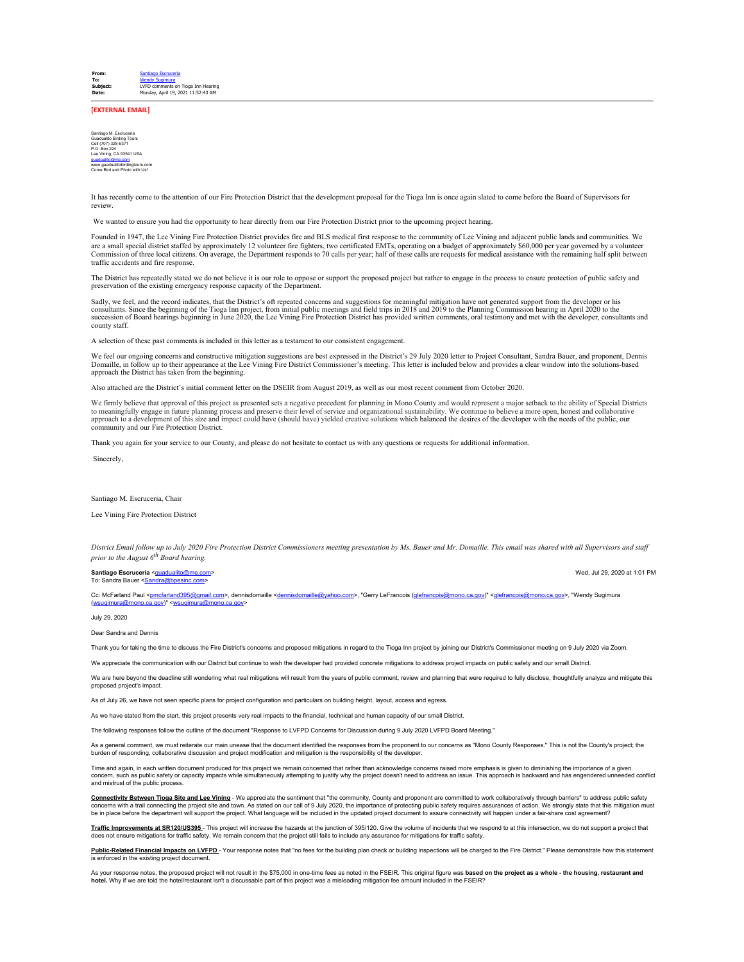**[EXTERNAL EMAIL]**

Santiago M. Escruceria Guadualito Birding Tours Cell (707) 328-6371 P.O. Box 224 Lee Vining, CA 93541 USA g<u>uadualito@me.com</u><br>www.guadualitobirdingtours.com Come Bird and Photo with Us!

It has recently come to the attention of our Fire Protection District that the development proposal for the Tioga Inn is once again slated to come before the Board of Supervisors for review.

We wanted to ensure you had the opportunity to hear directly from our Fire Protection District prior to the upcoming project hearing.

Founded in 1947, the Lee Vining Fire Protection District provides fire and BLS medical first response to the community of Lee Vining and adjacent public lands and communities. We are a small special district staffed by approximately 12 volunteer fire fighters, two certificated EMTs, operating on a budget of approximately \$60,000 per year governed by a volunteer<br>Commission of three local citizens. O traffic accidents and fire response.

The District has repeatedly stated we do not believe it is our role to oppose or support the proposed project but rather to engage in the process to ensure protection of public safety and preservation of the existing emergency response capacity of the Department.

Sadly, we feel, and the record indicates, that the District's oft repeated concerns and suggestions for meaningful mitigation have not generated support from the developer or his<br>consultants. Since the beginning of the Tio county staff.

A selection of these past comments is included in this letter as a testament to our consistent engagement.

We feel our ongoing concerns and constructive mitigation suggestions are best expressed in the District's 29 July 2020 letter to Project Consultant, Sandra Bauer, and proponent, Dennis Domaille, in follow up to their appearance at the Lee Vining Fire District Commissioner's meeting. This letter is included below and provides a clear window into the solutions-based<br>approach the District has taken from the

Also attached are the District's initial comment letter on the DSEIR from August 2019, as well as our most recent comment from October 2020.

We firmly believe that approval of this project as presented sets a negative precedent for planning in Mono County and would represent a major setback to the ability of Special Districts to meaningfully engage in future planning process and preserve their level of service and organizational sustainability. We continue to believe a more open, honest and collaborative approach to a development of this size and impact could have (should have) yielded creative solutions which balanced the desires of the developer with the needs of the public, our community and our Fire Protection District.

Thank you again for your service to our County, and please do not hesitate to contact us with any questions or requests for additional information.

Sincerely,

## Santiago M. Escruceria, Chair

Lee Vining Fire Protection District

*District Email follow up to July 2020 Fire Protection District Commissioners meeting presentation by Ms. Bauer and Mr. Domaille. This email was shared with all Supervisors and staff prior to the August 6th Board hearing.*

**Santiago Escruceria** <[guadualito@me.com>](mailto:guadualito@me.com) Wed, Jul 29, 2020 at 1:01 PM

To: Sandra Bauer <San

Cc: McFarland Paul <<u>pmcfarland395@gmail.com</u>>, dennisdomaille <<u>dennisdomaille@yahoo.com</u>>, "Gerry LeFrancois (<u>glefrancois@mono.ca.gov</u>)" <<u>glefrancois@mono.ca.gov</u>>, "Wendy Sugimura<br>(<u>[wsugimura@mono.ca.gov\)](mailto:wsugimura@mono.ca.gov)" <wsugimur</u>

July 29, 2020

## Dear Sandra and Dennis

Thank you for taking the time to discuss the Fire District's concerns and proposed mitigations in regard to the Tioga Inn project by joining our District's Commissioner meeting on 9 July 2020 via Zoom.

We appreciate the communication with our District but continue to wish the developer had provided concrete mitigations to address project impacts on public safety and our small District.

We are here beyond the deadline still wondering what real mitigations will result from the years of public comment, review and planning that were required to fully disclose, thoughtfully analyze and mitigate this proposed project's impact.

As of July 26, we have not seen specific plans for project configuration and particulars on building height, layout, access and egress.

As we have stated from the start, this project presents very real impacts to the financial, technical and human capacity of our small District.

The following responses follow the outline of the document "Response to LVFPD Concerns for Discussion during 9 July 2020 LVFPD Board Meeting."

As a general comment, we must reiterate our main unease that the document identified the responses from the proponent to our concerns as "Mono County Responses." This is not the County's project; the burden of responding, collaborative discussion and project modification and mitigation is the responsibility of the developer.

Time and again, in each written document produced for this project we remain concerned that rather than acknowledge concerns raised more emphasis is given to diminishing the importance of a given<br>concern, such as public pr

**Connectivity Between Tioga Site and Lee Vining** - We appreciate the sentiment that "the community, County and proponent are committed to work collaboratively through barriers" to address public safety concerns with a trail connecting the project site and town. As stated on our call of 9 July 2020, the importance of protecting public safety requires assurances of action. We strongly state that this mitigation must<br>be in

**Traffic Improvements at SR120/US395** - This project will increase the hazards at the junction of 395/120. Give the volume of incidents that we respond to at this intersection, we do not support a project that does not ensure mitigations for traffic safety. We remain concern that the project still fails to include any assurance for mitigations for traffic safety.

Public-Related Financial Impacts on LVFPD - Your response notes that "no fees for the building plan check or building inspections will be charged to the Fire District." Please demonstrate how this statement is enforced in the existing project document

As your response notes, the proposed project will not result in the \$75,000 in one-time fees as noted in the FSEIR. This original figure was **based on the project as a whole - the housing, restaurant and hotel.** Why if we are told the hotel/restaurant isn't a discussable part of this project was a misleading mitigation fee amount included in the FSEIR?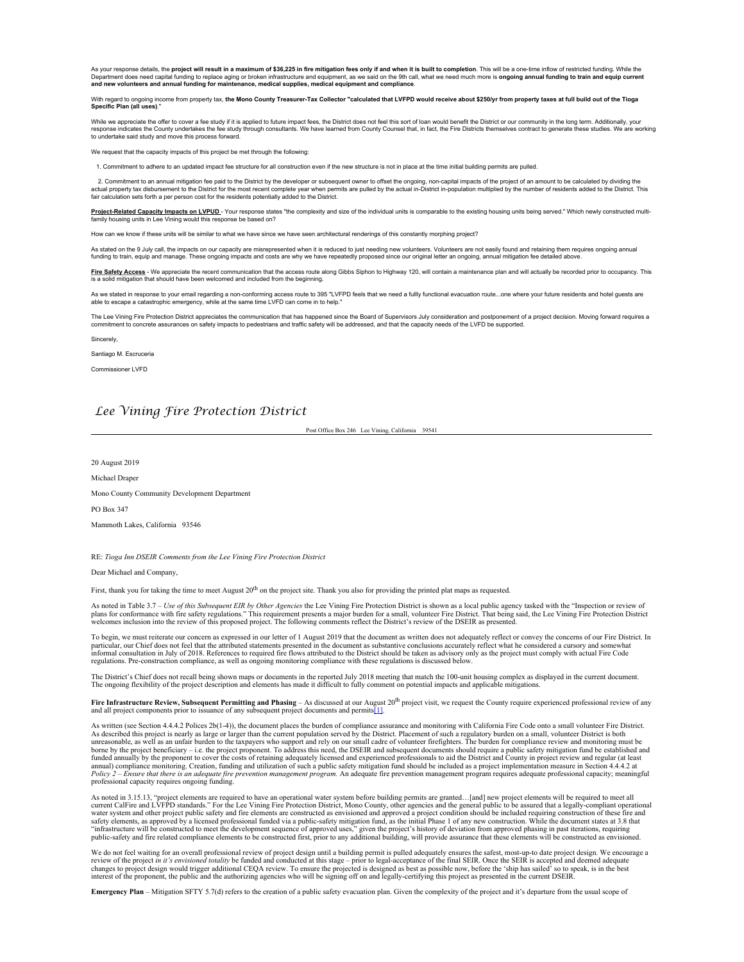As your response details, the **project will result in a maximum of \$36,225 in fire mitigation fees only if and when it is built to completion**. This will be a one-time inflow of restricted funding. While the Department does need capital funding to replace aging or broken infrastructure and equipment, as we said on the 9th call, what we need much more is **ongoing annual funding to train and equip current**<br>and new volunteers and

With regard to ongoing income from property tax, **the Mono County Treasurer-Tax Collector "calculated that LVFPD would receive about \$250/yr from property taxes at full build out of the Tioga Specific Plan (all uses)**."

While we appreciate the offer to cover a fee study if it is applied to future impact fees, the District does not feel this sort of loan would benefit the District or our community in the long term. Additionally, your<br>respo to undertake said study and move this process forward.

We request that the capacity impacts of this project be met through the following:

ommitment to adhere to an updated impact fee structure for all construction even if the new structure is not in place at the time initial building permits are pulled.

2. Commitment to an annual mitigation fee paid to the District by the developer or subsequent owner to offset the ongoing, non-capital impacts of the project of an amount to be calculated by dividing the Calculated by divi

Project-Related Capacity Impacts on LVPUD - Your response states "the complexity and size of the individual units is comparable to the existing housing units being served." Which newly constructed multifamily housing units in Lee Vining would this response be based on?

How can we know if these units will be similar to what we have since we have seen architectural renderings of this constantly morphing project?

As stated on the 9 July call, the impacts on our capacity are misrepresented when it is reduced to just needing new volunteers. Volunteers are not easily found and retaining them requires ongoing annual<br>funding to train, e

**Eire Safety Access** - We appreciate the recent communication that the access route along Gibbs Siphon to Highway 120, will contain a maintenance plan and will actually be recorded prior to occupancy. This<br>is a solid mitig

As we stated in response to your email regarding a non-conforming access route to 395 "LVFPD feels that we need a fullly functional evacuation route...one where your future residents and hotel guests are<br>able to escape a c

The Lee Vining Fire Protection District appreciates the communication that has happened since the Board of Supervisors July consideration and postponement of a project decision. Moving forward requires a<br>commitment to conc

**Sincerely** 

Santiago M. Escruceria

Commissioner LVFD

## *Lee Vining Fire Protection District*

Post Office Box 246 Lee Vining, California 39541

20 August 2019

Michael Draper

Mono County Community Development Department

PO Box 347

Mammoth Lakes, California 93546

RE: *Tioga Inn DSEIR Comments from the Lee Vining Fire Protection District*

Dear Michael and Company,

First, thank you for taking the time to meet August 20<sup>th</sup> on the project site. Thank you also for providing the printed plat maps as requested.

As noted in Table 3.7 – *Use of this Subsequent EIR by Other Agencies* the Lee Vining Fire Protection District is shown as a local public agency tasked with the "Inspection or review of plans for conformance with fire safety regulations." This requirement presents a major burden for a small, volunteer Fire District. That being said, the Lee Vining Fire Protection District<br>welcomes inclusion into the revie

To begin, we must reiterate our concern as expressed in our letter of 1 August 2019 that the document as written does not adequately reflect or convey the concerns of our Fire District. In<br>particular, our Chief does not fe informal consultation in July of 2018. References to required fire flows attributed to the District should be taken as advisory only as the project must comply with actual Fire Code regulations. Pre-construction compliance, as well as ongoing monitoring compliance with these regulations is discussed below.

The District's Chief does not recall being shown maps or documents in the reported July 2018 meeting that match the 100-unit housing complex as displayed in the current document.<br>The ongoing flexibility of the project desc

Fire Infrastructure Review, Subsequent Permitting and Phasing – As discussed at our August 20<sup>th</sup> project visit, we request the County require experienced professional review of any and all project components prior to issuance of any subsequent project documents and permits[1].

As written (see Section 4.4.4.2 Polices 2b(1-4)), the document places the burden of compliance assurance and monitoring with California Fire Code onto a small volunteer Fire District.<br>As described this project is nearly as borne by the project beneficiary - i.e. the project proponent. To address this need, the DSEIR and subsequent documents should require a public safety mitigation fund be established and funded annually by the proponent to cover the costs of retaining adequately licensed and experienced professionals to aid the District and County in project review and regular (at least<br>annual) compliance monitoring. Creat professional capacity requires ongoing funding.

As noted in 3.15.13, "project elements are required to have an operational water system before building permits are granted…[and] new project elements will be required to meet all<br>current CaIFire and LVFPD standards." For "infrastructure will be constructed to meet the development sequence of approved uses," given the project's history of deviation from approved phasing in past iterations, requiring<br>public-safety and fire related compliance

We do not feel waiting for an overall professional review of project design until a building permit is pulled adequately ensures the safest, most-up-to date project design. We encourage a<br>review of the project *in it's en* 

**Emergency Plan** – Mitigation SFTY 5.7(d) refers to the creation of a public safety evacuation plan. Given the complexity of the project and it's departure from the usual scope of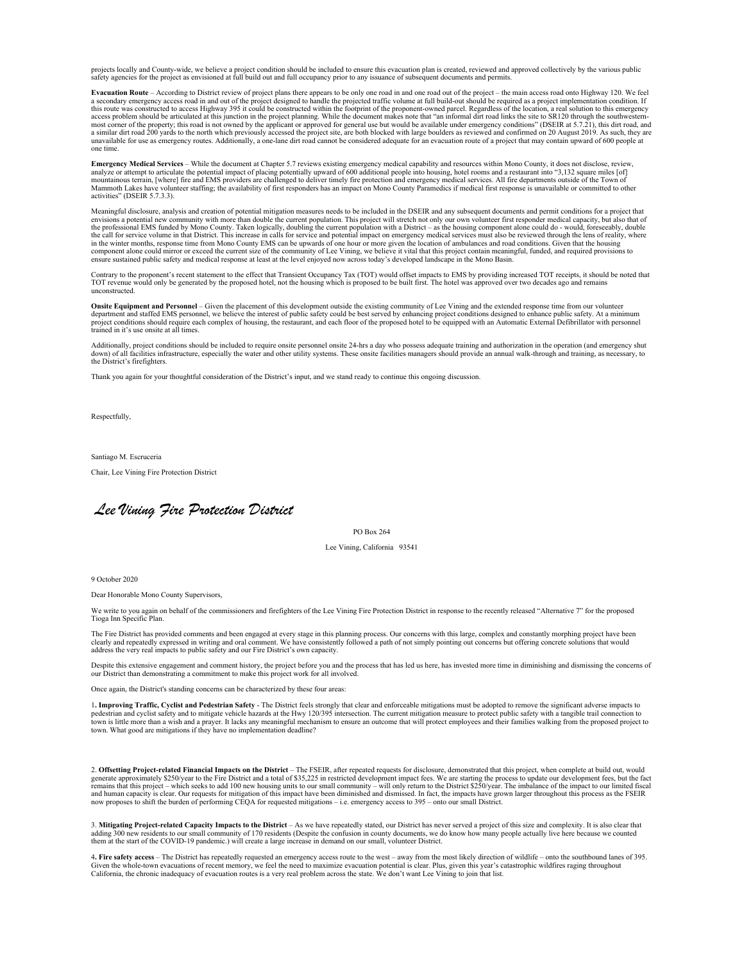projects locally and County-wide, we believe a project condition should be included to ensure this evacuation plan is created, reviewed and approved collectively by the various public<br>safety agencies for the project as env

**Evacuation Route** – According to District review of project plans there appears to be only one road in and one road out of the project – the main access road onto Highway 120. We feel<br>a secondary emergency access mad in a access problem should be articulated at this junction in the project planning. While the document makes note that "an informal dirt road links the site to SR120 through the southwestern-<br>most corner of the property; this r one time.

E**mergency Medical Services** – While the document at Chapter 5.7 reviews existing emergency medical capability and resources within Mono County, it does not disclose, review,<br>analyze or attempt to articulate the potential Mammoth Lakes have volunteer staffing; the availability of first responders has an impact on Mono County Paramedics if medical first response is unavailable or committed to other activities" (DSEIR 5.7.3.3).

Meaningful disclosure, analysis and creation of potential mitigation measures needs to be included in the DSEIR and any subsequent documents and permit conditions for a project that envisions a potential new community with more than double the current population. This project will stretch not only our own volunteer first responder medical capacity, but also that of<br>the professional EMS funded by Mono component alone could mirror or exceed the current size of the community of Lee Vining, we believe it vital that this project contain meaningful, funded, and required provisions to<br>ensure sustained public safety and medica

Contrary to the proponent's recent statement to the effect that Transient Occupancy Tax (TOT) would offset impacts to EMS by providing increased TOT receipts, it should be noted that<br>TOT revenue would only be generated by unconstructed.

**Onsite Equipment and Personnel** – Given the placement of this development outside the existing community of Lee Vining and the extended response time from our volunteer<br>department and staffed EMS personnel, we believe the trained in it's use onsite at all times.

Additionally, project conditions should be included to require onsite personnel onsite 24-hrs a day who possess adequate training and authorization in the operation (and emergency shut<br>down) of all facilities infrastructur the District's firefighters.

Thank you again for your thoughtful consideration of the District's input, and we stand ready to continue this ongoing discussion.

Respectfully,

Santiago M. Escruceria

Chair, Lee Vining Fire Protection District

*Lee Vining Fire Protection District*

PO Box 264

## Lee Vining, California 93541

9 October 2020

Dear Honorable Mono County Supervisors,

We write to you again on behalf of the commissioners and firefighters of the Lee Vining Fire Protection District in response to the recently released "Alternative 7" for the proposed Tioga Inn Specific Plan.

The Fire District has provided comments and been engaged at every stage in this planning process. Our concerns with this large, complex and constantly morphing project have been clearly and repeatedly expressed in writing and oral comment. We have consistently followed a path of not simply pointing out concerns but offering concrete solutions that would<br>address the very real impacts to public safe

Despite this extensive engagement and comment history, the project before you and the process that has led us here, has invested more time in diminishing and dismissing the concerns of<br>our District than demonstrating a com

Once again, the District's standing concerns can be characterized by these four areas:

1**. Improving Traffic, Cyclist and Pedestrian Safety** - The District feels strongly that clear and enforceable mitigations must be adopted to remove the significant adverse impacts to pedestrian and cyclist safety and to mitigate vehicle hazards at the Hwy 120/395 intersection. The current mitigation measure to protect public safety with a tangible trail connection to<br>town is little more than a wish and town. What good are mitigations if they have no implementation deadline?

2. **Offsetting Project-related Financial Impacts on the District** – The FSEIR, after repeated requests for disclosure, demonstrated that this project, when complete at build out, would generate approximately \$250/year to the Fire District and a total of \$35,225 in restricted development impact fees. We are starting the process to update our development fees, but the fact<br>remains that this project – which now proposes to shift the burden of performing CEQA for requested mitigations – i.e. emergency access to 395 – onto our small District.

3. Mitigating Project-related Capacity Impacts to the District – As we have repeatedly stated, our District has never served a project of this size and complexity. It is also clear that<br>adding 300 new residents to our smal

4. Fire safety access – The District has repeatedly requested an emergency access route to the west – away from the most likely direction of wildlife – onto the southbound lanes of 395.<br>Given the whole-town evacuations of California, the chronic inadequacy of evacuation routes is a very real problem across the state. We don't want Lee Vining to join that list.